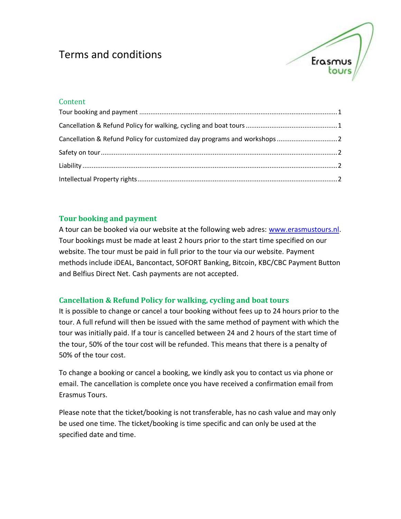# Terms and conditions



# **Content**

# <span id="page-0-0"></span>**Tour booking and payment**

A tour can be booked via our website at the following web adres: [www.erasmustours.nl.](http://www.erasmustours.nl/) Tour bookings must be made at least 2 hours prior to the start time specified on our website. The tour must be paid in full prior to the tour via our website. Payment methods include iDEAL, Bancontact, SOFORT Banking, Bitcoin, KBC/CBC Payment Button and Belfius Direct Net. Cash payments are not accepted.

# <span id="page-0-1"></span>**Cancellation & Refund Policy for walking, cycling and boat tours**

It is possible to change or cancel a tour booking without fees up to 24 hours prior to the tour. A full refund will then be issued with the same method of payment with which the tour was initially paid. If a tour is cancelled between 24 and 2 hours of the start time of the tour, 50% of the tour cost will be refunded. This means that there is a penalty of 50% of the tour cost.

To change a booking or cancel a booking, we kindly ask you to contact us via phone or email. The cancellation is complete once you have received a confirmation email from Erasmus Tours.

Please note that the ticket/booking is not transferable, has no cash value and may only be used one time. The ticket/booking is time specific and can only be used at the specified date and time.